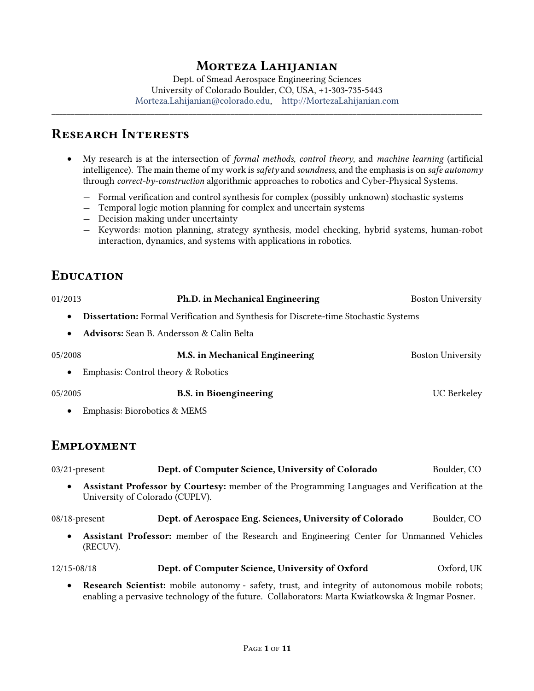## *Morteza Lahijanian*

Dept. of Smead Aerospace Engineering Sciences University of Colorado Boulder, CO, USA, +1-303-735-5443 Morteza.Lahijanian@colorado.edu, http://MortezaLahijanian.com

\_\_\_\_\_\_\_\_\_\_\_\_\_\_\_\_\_\_\_\_\_\_\_\_\_\_\_\_\_\_\_\_\_\_\_\_\_\_\_\_\_\_\_\_\_\_\_\_\_\_\_\_\_\_\_\_\_\_\_\_\_\_\_\_\_\_\_\_\_\_\_\_\_\_\_\_\_\_\_\_\_\_\_\_\_\_\_\_\_\_\_\_\_\_\_\_\_\_\_\_\_\_\_\_\_\_\_\_\_\_\_\_\_

### *Research Interests*

- My research is at the intersection of *formal methods*, *control theory*, and *machine learning* (artificial intelligence). The main theme of my work is *safety* and *soundness*, and the emphasis is on *safe autonomy* through *correct-by-construction* algorithmic approaches to robotics and Cyber-Physical Systems.
	- Formal verification and control synthesis for complex (possibly unknown) stochastic systems
	- Temporal logic motion planning for complex and uncertain systems
	- Decision making under uncertainty
	- Keywords: motion planning, strategy synthesis, model checking, hybrid systems, human-robot interaction, dynamics, and systems with applications in robotics.

# *Education*

| 01/2013               | Ph.D. in Mechanical Engineering<br><b>Boston University</b>                                                                            |                          |  |  |  |  |
|-----------------------|----------------------------------------------------------------------------------------------------------------------------------------|--------------------------|--|--|--|--|
| $\bullet$             | <b>Dissertation:</b> Formal Verification and Synthesis for Discrete-time Stochastic Systems                                            |                          |  |  |  |  |
| $\bullet$             | <b>Advisors:</b> Sean B. Andersson & Calin Belta                                                                                       |                          |  |  |  |  |
| 05/2008               | <b>M.S. in Mechanical Engineering</b>                                                                                                  | <b>Boston University</b> |  |  |  |  |
| $\bullet$             | Emphasis: Control theory & Robotics                                                                                                    |                          |  |  |  |  |
| 05/2005               | <b>B.S.</b> in Bioengineering                                                                                                          | UC Berkeley              |  |  |  |  |
|                       | Emphasis: Biorobotics & MEMS                                                                                                           |                          |  |  |  |  |
| <b>EMPLOYMENT</b>     |                                                                                                                                        |                          |  |  |  |  |
| $03/21$ -present      | Dept. of Computer Science, University of Colorado                                                                                      | Boulder, CO              |  |  |  |  |
| $\bullet$             | <b>Assistant Professor by Courtesy:</b> member of the Programming Languages and Verification at the<br>University of Colorado (CUPLV). |                          |  |  |  |  |
| $08/18$ -present      | Dept. of Aerospace Eng. Sciences, University of Colorado                                                                               | Boulder, CO              |  |  |  |  |
| $\bullet$<br>(RECUV). | Assistant Professor: member of the Research and Engineering Center for Unmanned Vehicles                                               |                          |  |  |  |  |

| $12/15 - 08/18$ | Dept. of Computer Science, University of Oxford | Oxford, UK |
|-----------------|-------------------------------------------------|------------|
|-----------------|-------------------------------------------------|------------|

• Research Scientist: mobile autonomy - safety, trust, and integrity of autonomous mobile robots; enabling a pervasive technology of the future. Collaborators: Marta Kwiatkowska & Ingmar Posner.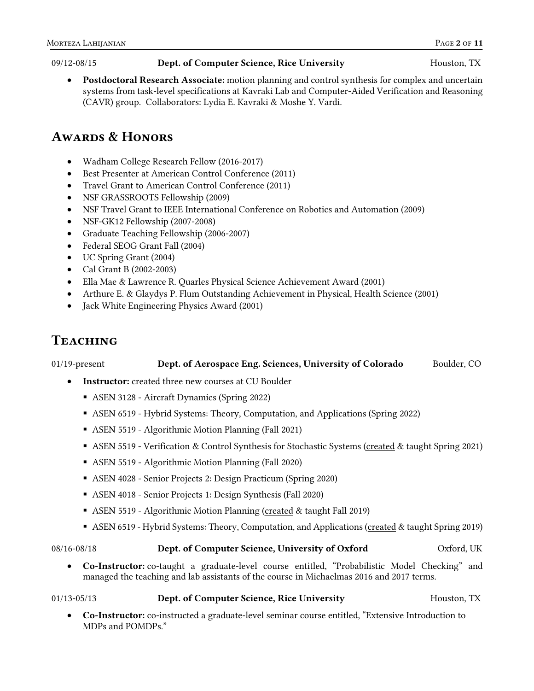### 09/12-08/15 **Dept. of Computer Science, Rice University** Houston, TX

• Postdoctoral Research Associate: motion planning and control synthesis for complex and uncertain systems from task-level specifications at Kavraki Lab and Computer-Aided Verification and Reasoning (CAVR) group. Collaborators: Lydia E. Kavraki & Moshe Y. Vardi.

# *Awards & Honors*

- Wadham College Research Fellow (2016-2017)
- Best Presenter at American Control Conference (2011)
- Travel Grant to American Control Conference (2011)
- NSF GRASSROOTS Fellowship (2009)
- NSF Travel Grant to IEEE International Conference on Robotics and Automation (2009)
- NSF-GK12 Fellowship (2007-2008)
- Graduate Teaching Fellowship (2006-2007)
- Federal SEOG Grant Fall (2004)
- UC Spring Grant (2004)
- Cal Grant B (2002-2003)
- Ella Mae & Lawrence R. Quarles Physical Science Achievement Award (2001)
- Arthure E. & Glaydys P. Flum Outstanding Achievement in Physical, Health Science (2001)
- Jack White Engineering Physics Award (2001)

# *Teaching*

01/19-present **Dept. of Aerospace Eng. Sciences, University of Colorado** Boulder, CO

- Instructor: created three new courses at CU Boulder
	- § ASEN 3128 Aircraft Dynamics (Spring 2022)
	- § ASEN 6519 Hybrid Systems: Theory, Computation, and Applications (Spring 2022)
	- § ASEN 5519 Algorithmic Motion Planning (Fall 2021)
	- ASEN 5519 Verification & Control Synthesis for Stochastic Systems (created & taught Spring 2021)
	- § ASEN 5519 Algorithmic Motion Planning (Fall 2020)
	- § ASEN 4028 Senior Projects 2: Design Practicum (Spring 2020)
	- § ASEN 4018 Senior Projects 1: Design Synthesis (Fall 2020)
	- ASEN 5519 Algorithmic Motion Planning (created & taught Fall 2019)
	- ASEN 6519 Hybrid Systems: Theory, Computation, and Applications (created & taught Spring 2019)

| 08/16-08/18 |                                                                                                      | Dept. of Computer Science, University of Oxford |  |  | Oxford, UK |  |
|-------------|------------------------------------------------------------------------------------------------------|-------------------------------------------------|--|--|------------|--|
|             | <b>Co-Instructor:</b> co-taught a graduate-level course entitled, "Probabilistic Model Checking" and |                                                 |  |  |            |  |

managed the teaching and lab assistants of the course in Michaelmas 2016 and 2017 terms.

### 01/13-05/13 **Dept. of Computer Science, Rice University** Houston, TX

• Co-Instructor: co-instructed a graduate-level seminar course entitled, "Extensive Introduction to MDPs and POMDPs."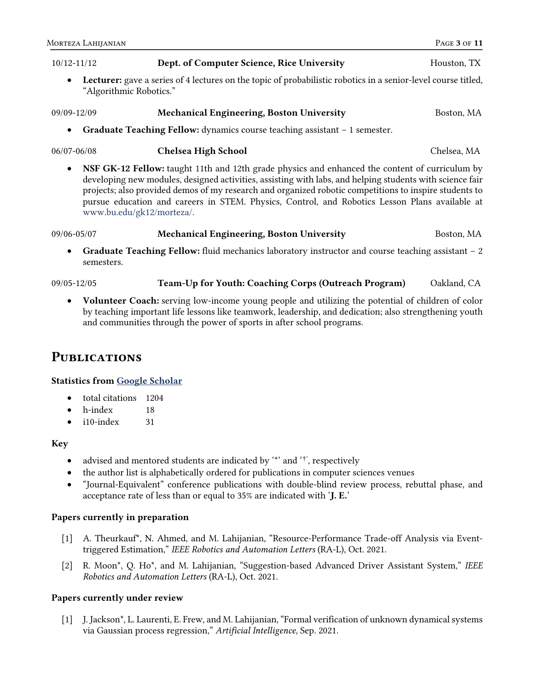#### 10/12-11/12 Dept. of Computer Science, Rice University Houston, TX

• Lecturer: gave a series of 4 lectures on the topic of probabilistic robotics in a senior-level course titled, "Algorithmic Robotics."

| 09/09-12/09 | <b>Mechanical Engineering, Boston University</b> | Boston, MA |
|-------------|--------------------------------------------------|------------|
|-------------|--------------------------------------------------|------------|

• Graduate Teaching Fellow: dynamics course teaching assistant – 1 semester.

#### 06/07-06/08 **Chelsea High School** Chelsea, MA

• NSF GK-12 Fellow: taught 11th and 12th grade physics and enhanced the content of curriculum by developing new modules, designed activities, assisting with labs, and helping students with science fair projects; also provided demos of my research and organized robotic competitions to inspire students to pursue education and careers in STEM. Physics, Control, and Robotics Lesson Plans available at www.bu.edu/gk12/morteza/.

09/06-05/07 **Mechanical Engineering, Boston University** Boston, MA

• Graduate Teaching Fellow: fluid mechanics laboratory instructor and course teaching assistant – 2 semesters.

09/05-12/05 **Team-Up for Youth: Coaching Corps (Outreach Program)** Oakland, CA

• Volunteer Coach: serving low-income young people and utilizing the potential of children of color by teaching important life lessons like teamwork, leadership, and dedication; also strengthening youth and communities through the power of sports in after school programs.

## *Publications*

### Statistics from Google Scholar

- total citations 1204
- h-index 18
- $\bullet$  i10-index 31

#### Key

- advised and mentored students are indicated by "\*" and "†", respectively
- the author list is alphabetically ordered for publications in computer sciences venues
- "Journal-Equivalent" conference publications with double-blind review process, rebuttal phase, and acceptance rate of less than or equal to 35% are indicated with 'J. E.'

#### Papers currently in preparation

- [1] A. Theurkauf\*, N. Ahmed, and M. Lahijanian, "Resource-Performance Trade-off Analysis via Eventtriggered Estimation," *IEEE Robotics and Automation Letters* (RA-L), Oct. 2021.
- [2] R. Moon\*, Q. Ho\*, and M. Lahijanian, "Suggestion-based Advanced Driver Assistant System," *IEEE Robotics and Automation Letters* (RA-L), Oct. 2021.

### Papers currently under review

[1] J. Jackson\*, L. Laurenti, E. Frew, and M. Lahijanian, "Formal verification of unknown dynamical systems via Gaussian process regression," *Artificial Intelligence*, Sep. 2021.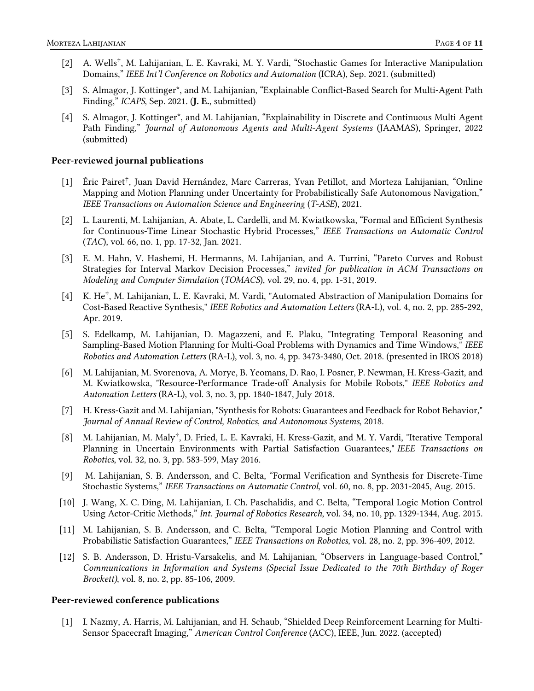- [2] A. Wells†, M. Lahijanian, L. E. Kavraki, M. Y. Vardi, "Stochastic Games for Interactive Manipulation Domains," *IEEE Int'l Conference on Robotics and Automation* (ICRA), Sep. 2021. (submitted)
- [3] S. Almagor, J. Kottinger\*, and M. Lahijanian, "Explainable Conflict-Based Search for Multi-Agent Path Finding," *ICAPS*, Sep. 2021. (J. E., submitted)
- [4] S. Almagor, J. Kottinger\*, and M. Lahijanian, "Explainability in Discrete and Continuous Multi Agent Path Finding," *Journal of Autonomous Agents and Multi-Agent Systems* (JAAMAS), Springer, 2022 (submitted)

#### Peer-reviewed journal publications

- [1] Èric Pairet†, Juan David Hernández, Marc Carreras, Yvan Petillot, and Morteza Lahijanian, "Online Mapping and Motion Planning under Uncertainty for Probabilistically Safe Autonomous Navigation," *IEEE Transactions on Automation Science and Engineering* (*T-ASE*), 2021.
- [2] L. Laurenti, M. Lahijanian, A. Abate, L. Cardelli, and M. Kwiatkowska, "Formal and Efficient Synthesis for Continuous-Time Linear Stochastic Hybrid Processes," *IEEE Transactions on Automatic Control* (*TAC*), vol. 66, no. 1, pp. 17-32, Jan. 2021.
- [3] E. M. Hahn, V. Hashemi, H. Hermanns, M. Lahijanian, and A. Turrini, "Pareto Curves and Robust Strategies for Interval Markov Decision Processes," *invited for publication in ACM Transactions on Modeling and Computer Simulation* (*TOMACS*), vol. 29, no. 4, pp. 1-31, 2019.
- [4] K. He†, M. Lahijanian, L. E. Kavraki, M. Vardi, "Automated Abstraction of Manipulation Domains for Cost-Based Reactive Synthesis," *IEEE Robotics and Automation Letters* (RA-L), vol. 4, no. 2, pp. 285-292, Apr. 2019.
- [5] S. Edelkamp, M. Lahijanian, D. Magazzeni, and E. Plaku, "Integrating Temporal Reasoning and Sampling-Based Motion Planning for Multi-Goal Problems with Dynamics and Time Windows," *IEEE Robotics and Automation Letters* (RA-L), vol. 3, no. 4, pp. 3473-3480, Oct. 2018. (presented in IROS 2018)
- [6] M. Lahijanian, M. Svorenova, A. Morye, B. Yeomans, D. Rao, I. Posner, P. Newman, H. Kress-Gazit, and M. Kwiatkowska, "Resource-Performance Trade-off Analysis for Mobile Robots," *IEEE Robotics and Automation Letters* (RA-L), vol. 3, no. 3, pp. 1840-1847, July 2018.
- [7] H. Kress-Gazit and M. Lahijanian, "Synthesis for Robots: Guarantees and Feedback for Robot Behavior," *Journal of Annual Review of Control, Robotics, and Autonomous Systems*, 2018.
- [8] M. Lahijanian, M. Maly†, D. Fried, L. E. Kavraki, H. Kress-Gazit, and M. Y. Vardi, "Iterative Temporal Planning in Uncertain Environments with Partial Satisfaction Guarantees," *IEEE Transactions on Robotics*, vol. 32, no. 3, pp. 583-599, May 2016.
- [9] M. Lahijanian, S. B. Andersson, and C. Belta, "Formal Verification and Synthesis for Discrete-Time Stochastic Systems," *IEEE Transactions on Automatic Control*, vol. 60, no. 8, pp. 2031-2045, Aug. 2015.
- [10] J. Wang, X. C. Ding, M. Lahijanian, I. Ch. Paschalidis, and C. Belta, "Temporal Logic Motion Control Using Actor-Critic Methods," *Int. Journal of Robotics Research*, vol. 34, no. 10, pp. 1329-1344, Aug. 2015.
- [11] M. Lahijanian, S. B. Andersson, and C. Belta, "Temporal Logic Motion Planning and Control with Probabilistic Satisfaction Guarantees," *IEEE Transactions on Robotics*, vol. 28, no. 2, pp. 396-409, 2012.
- [12] S. B. Andersson, D. Hristu-Varsakelis, and M. Lahijanian, "Observers in Language-based Control," *Communications in Information and Systems (Special Issue Dedicated to the 70th Birthday of Roger Brockett)*, vol. 8, no. 2, pp. 85-106, 2009.

#### Peer-reviewed conference publications

[1] I. Nazmy, A. Harris, M. Lahijanian, and H. Schaub, "Shielded Deep Reinforcement Learning for Multi-Sensor Spacecraft Imaging," *American Control Conference* (ACC), IEEE, Jun. 2022. (accepted)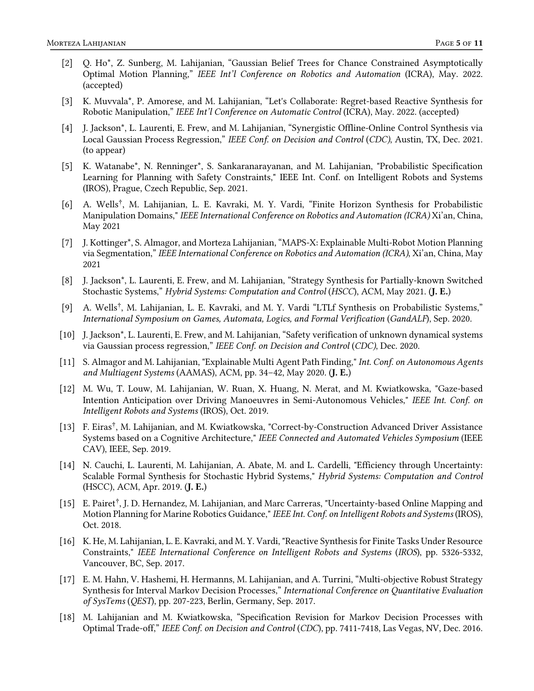- [2] Q. Ho\*, Z. Sunberg, M. Lahijanian, "Gaussian Belief Trees for Chance Constrained Asymptotically Optimal Motion Planning," *IEEE Int'l Conference on Robotics and Automation* (ICRA), May. 2022. (accepted)
- [3] K. Muvvala\*, P. Amorese, and M. Lahijanian, "Let's Collaborate: Regret-based Reactive Synthesis for Robotic Manipulation," *IEEE Int'l Conference on Automatic Control* (ICRA), May. 2022. (accepted)
- [4] J. Jackson\*, L. Laurenti, E. Frew, and M. Lahijanian, "Synergistic Offline-Online Control Synthesis via Local Gaussian Process Regression," *IEEE Conf. on Decision and Control* (*CDC)*, Austin, TX, Dec. 2021. (to appear)
- [5] K. Watanabe\*, N. Renninger\*, S. Sankaranarayanan, and M. Lahijanian, "Probabilistic Specification Learning for Planning with Safety Constraints," IEEE Int. Conf. on Intelligent Robots and Systems (IROS), Prague, Czech Republic, Sep. 2021.
- [6] A. Wells†, M. Lahijanian, L. E. Kavraki, M. Y. Vardi, "Finite Horizon Synthesis for Probabilistic Manipulation Domains," *IEEE International Conference on Robotics and Automation (ICRA)* Xi'an, China, May 2021
- [7] J. Kottinger\*, S. Almagor, and Morteza Lahijanian, "MAPS-X: Explainable Multi-Robot Motion Planning via Segmentation," *IEEE International Conference on Robotics and Automation (ICRA)*, Xi'an, China, May 2021
- [8] J. Jackson\*, L. Laurenti, E. Frew, and M. Lahijanian, "Strategy Synthesis for Partially-known Switched Stochastic Systems," *Hybrid Systems: Computation and Control* (*HSCC*), ACM, May 2021. (J. E.)
- [9] A. Wells†, M. Lahijanian, L. E. Kavraki, and M. Y. Vardi "LTLf Synthesis on Probabilistic Systems," *International Symposium on Games, Automata, Logics, and Formal Verification* (*GandALF*), Sep. 2020.
- [10] J. Jackson\*, L. Laurenti, E. Frew, and M. Lahijanian, "Safety verification of unknown dynamical systems via Gaussian process regression," *IEEE Conf. on Decision and Control* (*CDC)*, Dec. 2020.
- [11] S. Almagor and M. Lahijanian, "Explainable Multi Agent Path Finding," *Int. Conf. on Autonomous Agents and Multiagent Systems* (AAMAS), ACM, pp. 34–42, May 2020. (J. E.)
- [12] M. Wu, T. Louw, M. Lahijanian, W. Ruan, X. Huang, N. Merat, and M. Kwiatkowska, "Gaze-based Intention Anticipation over Driving Manoeuvres in Semi-Autonomous Vehicles," *IEEE Int. Conf. on Intelligent Robots and Systems* (IROS), Oct. 2019.
- [13] F. Eiras†, M. Lahijanian, and M. Kwiatkowska, "Correct-by-Construction Advanced Driver Assistance Systems based on a Cognitive Architecture," *IEEE Connected and Automated Vehicles Symposium* (IEEE CAV), IEEE, Sep. 2019.
- [14] N. Cauchi, L. Laurenti, M. Lahijanian, A. Abate, M. and L. Cardelli, "Efficiency through Uncertainty: Scalable Formal Synthesis for Stochastic Hybrid Systems," *Hybrid Systems: Computation and Control* (HSCC), ACM, Apr. 2019. (J. E.)
- [15] E. Pairet†, J. D. Hernandez, M. Lahijanian, and Marc Carreras, "Uncertainty-based Online Mapping and Motion Planning for Marine Robotics Guidance," *IEEE Int. Conf. on Intelligent Robots and Systems* (IROS), Oct. 2018.
- [16] K. He, M. Lahijanian, L. E. Kavraki, and M. Y. Vardi, "Reactive Synthesis for Finite Tasks Under Resource Constraints," *IEEE International Conference on Intelligent Robots and Systems* (*IROS*), pp. 5326-5332, Vancouver, BC, Sep. 2017.
- [17] E. M. Hahn, V. Hashemi, H. Hermanns, M. Lahijanian, and A. Turrini, "Multi-objective Robust Strategy Synthesis for Interval Markov Decision Processes," *International Conference on Quantitative Evaluation of SysTems* (*QEST*), pp. 207-223, Berlin, Germany, Sep. 2017.
- [18] M. Lahijanian and M. Kwiatkowska, "Specification Revision for Markov Decision Processes with Optimal Trade-off," *IEEE Conf. on Decision and Control* (*CDC*), pp. 7411-7418, Las Vegas, NV, Dec. 2016.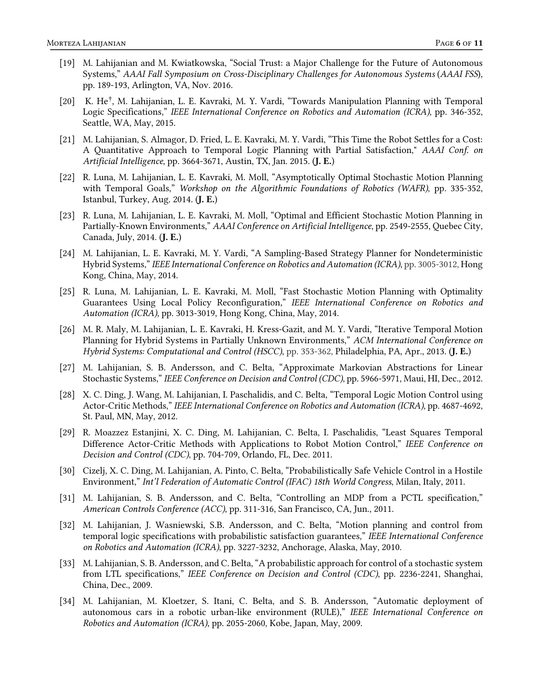- [19] M. Lahijanian and M. Kwiatkowska, "Social Trust: a Major Challenge for the Future of Autonomous Systems," *AAAI Fall Symposium on Cross-Disciplinary Challenges for Autonomous Systems* (*AAAI FSS*), pp. 189-193, Arlington, VA, Nov. 2016.
- [20] K. He†, M. Lahijanian, L. E. Kavraki, M. Y. Vardi, "Towards Manipulation Planning with Temporal Logic Specifications," *IEEE International Conference on Robotics and Automation (ICRA)*, pp. 346-352, Seattle, WA, May, 2015.
- [21] M. Lahijanian, S. Almagor, D. Fried, L. E. Kavraki, M. Y. Vardi, "This Time the Robot Settles for a Cost: A Quantitative Approach to Temporal Logic Planning with Partial Satisfaction," *AAAI Conf. on Artificial Intelligence*, pp. 3664-3671, Austin, TX, Jan. 2015. (J. E.)
- [22] R. Luna, M. Lahijanian, L. E. Kavraki, M. Moll, "Asymptotically Optimal Stochastic Motion Planning with Temporal Goals," *Workshop on the Algorithmic Foundations of Robotics (WAFR)*, pp. 335-352, Istanbul, Turkey, Aug. 2014. (J. E.)
- [23] R. Luna, M. Lahijanian, L. E. Kavraki, M. Moll, "Optimal and Efficient Stochastic Motion Planning in Partially-Known Environments," *AAAI Conference on Artificial Intelligence*, pp. 2549-2555, Quebec City, Canada, July, 2014. (J. E.)
- [24] M. Lahijanian, L. E. Kavraki, M. Y. Vardi, "A Sampling-Based Strategy Planner for Nondeterministic Hybrid Systems," *IEEE International Conference on Robotics and Automation (ICRA)*, pp. 3005-3012, Hong Kong, China, May, 2014.
- [25] R. Luna, M. Lahijanian, L. E. Kavraki, M. Moll, "Fast Stochastic Motion Planning with Optimality Guarantees Using Local Policy Reconfiguration," *IEEE International Conference on Robotics and Automation (ICRA)*, pp. 3013-3019, Hong Kong, China, May, 2014.
- [26] M. R. Maly, M. Lahijanian, L. E. Kavraki, H. Kress-Gazit, and M. Y. Vardi, "Iterative Temporal Motion Planning for Hybrid Systems in Partially Unknown Environments," *ACM International Conference on Hybrid Systems: Computational and Control (HSCC)*, pp. 353-362, Philadelphia, PA, Apr., 2013. (J. E.)
- [27] M. Lahijanian, S. B. Andersson, and C. Belta, "Approximate Markovian Abstractions for Linear Stochastic Systems," *IEEE Conference on Decision and Control (CDC)*, pp. 5966-5971, Maui, HI, Dec., 2012.
- [28] X. C. Ding, J. Wang, M. Lahijanian, I. Paschalidis, and C. Belta, "Temporal Logic Motion Control using Actor-Critic Methods," *IEEE International Conference on Robotics and Automation (ICRA)*, pp. 4687-4692, St. Paul, MN, May, 2012.
- [29] R. Moazzez Estanjini, X. C. Ding, M. Lahijanian, C. Belta, I. Paschalidis, "Least Squares Temporal Difference Actor-Critic Methods with Applications to Robot Motion Control," *IEEE Conference on Decision and Control (CDC)*, pp. 704-709, Orlando, FL, Dec. 2011.
- [30] Cizelj, X. C. Ding, M. Lahijanian, A. Pinto, C. Belta, "Probabilistically Safe Vehicle Control in a Hostile Environment," *Int'l Federation of Automatic Control (IFAC) 18th World Congress*, Milan, Italy, 2011.
- [31] M. Lahijanian, S. B. Andersson, and C. Belta, "Controlling an MDP from a PCTL specification," *American Controls Conference (ACC)*, pp. 311-316, San Francisco, CA, Jun., 2011.
- [32] M. Lahijanian, J. Wasniewski, S.B. Andersson, and C. Belta, "Motion planning and control from temporal logic specifications with probabilistic satisfaction guarantees," *IEEE International Conference on Robotics and Automation (ICRA)*, pp. 3227-3232, Anchorage, Alaska, May, 2010.
- [33] M. Lahijanian, S. B. Andersson, and C. Belta, "A probabilistic approach for control of a stochastic system from LTL specifications," *IEEE Conference on Decision and Control (CDC)*, pp. 2236-2241, Shanghai, China, Dec., 2009.
- [34] M. Lahijanian, M. Kloetzer, S. Itani, C. Belta, and S. B. Andersson, "Automatic deployment of autonomous cars in a robotic urban-like environment (RULE)," *IEEE International Conference on Robotics and Automation (ICRA)*, pp. 2055-2060, Kobe, Japan, May, 2009.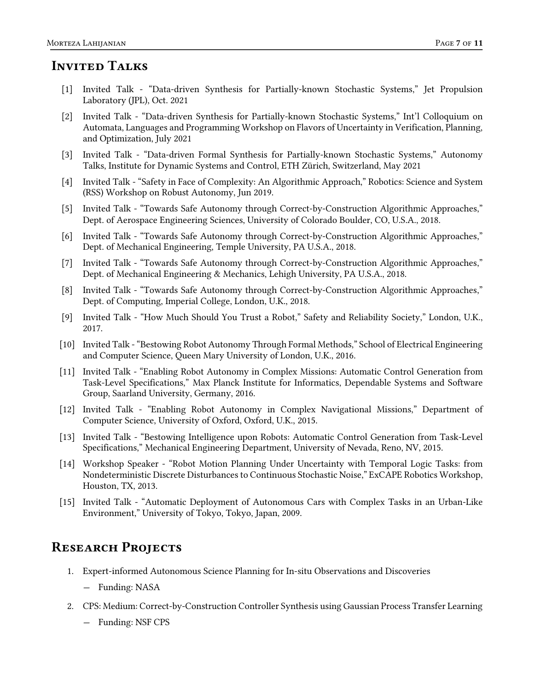## *Invited Talks*

- [1] Invited Talk "Data-driven Synthesis for Partially-known Stochastic Systems," Jet Propulsion Laboratory (JPL), Oct. 2021
- [2] Invited Talk "Data-driven Synthesis for Partially-known Stochastic Systems," Int'l Colloquium on Automata, Languages and Programming Workshop on Flavors of Uncertainty in Verification, Planning, and Optimization, July 2021
- [3] Invited Talk "Data-driven Formal Synthesis for Partially-known Stochastic Systems," Autonomy Talks, Institute for Dynamic Systems and Control, ETH Zürich, Switzerland, May 2021
- [4] Invited Talk "Safety in Face of Complexity: An Algorithmic Approach," Robotics: Science and System (RSS) Workshop on Robust Autonomy, Jun 2019.
- [5] Invited Talk "Towards Safe Autonomy through Correct-by-Construction Algorithmic Approaches," Dept. of Aerospace Engineering Sciences, University of Colorado Boulder, CO, U.S.A., 2018.
- [6] Invited Talk "Towards Safe Autonomy through Correct-by-Construction Algorithmic Approaches," Dept. of Mechanical Engineering, Temple University, PA U.S.A., 2018.
- [7] Invited Talk "Towards Safe Autonomy through Correct-by-Construction Algorithmic Approaches," Dept. of Mechanical Engineering & Mechanics, Lehigh University, PA U.S.A., 2018.
- [8] Invited Talk "Towards Safe Autonomy through Correct-by-Construction Algorithmic Approaches," Dept. of Computing, Imperial College, London, U.K., 2018.
- [9] Invited Talk "How Much Should You Trust a Robot," Safety and Reliability Society," London, U.K., 2017.
- [10] Invited Talk "Bestowing Robot Autonomy Through Formal Methods," School of Electrical Engineering and Computer Science, Queen Mary University of London, U.K., 2016.
- [11] Invited Talk "Enabling Robot Autonomy in Complex Missions: Automatic Control Generation from Task-Level Specifications," Max Planck Institute for Informatics, Dependable Systems and Software Group, Saarland University, Germany, 2016.
- [12] Invited Talk "Enabling Robot Autonomy in Complex Navigational Missions," Department of Computer Science, University of Oxford, Oxford, U.K., 2015.
- [13] Invited Talk "Bestowing Intelligence upon Robots: Automatic Control Generation from Task-Level Specifications," Mechanical Engineering Department, University of Nevada, Reno, NV, 2015.
- [14] Workshop Speaker "Robot Motion Planning Under Uncertainty with Temporal Logic Tasks: from Nondeterministic Discrete Disturbances to Continuous Stochastic Noise," ExCAPE Robotics Workshop, Houston, TX, 2013.
- [15] Invited Talk "Automatic Deployment of Autonomous Cars with Complex Tasks in an Urban-Like Environment," University of Tokyo, Tokyo, Japan, 2009.

# *Research Projects*

- 1. Expert-informed Autonomous Science Planning for In-situ Observations and Discoveries
	- Funding: NASA
- 2. CPS: Medium: Correct-by-Construction Controller Synthesis using Gaussian Process Transfer Learning
	- Funding: NSF CPS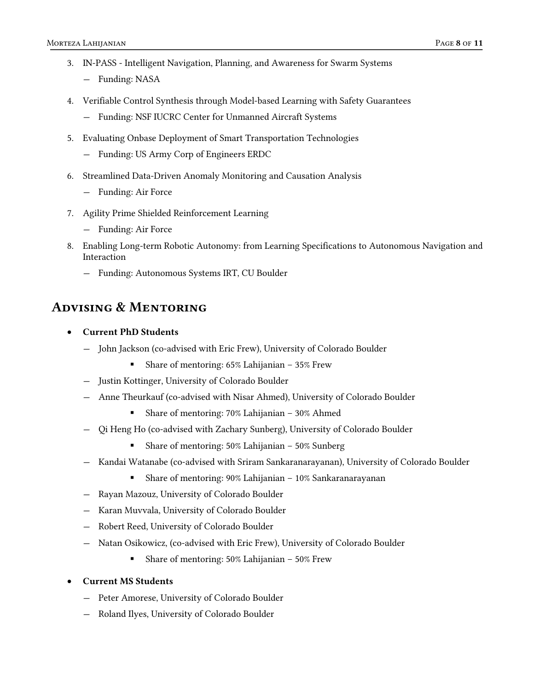- 3. IN-PASS Intelligent Navigation, Planning, and Awareness for Swarm Systems — Funding: NASA
- 4. Verifiable Control Synthesis through Model-based Learning with Safety Guarantees
	- Funding: NSF IUCRC Center for Unmanned Aircraft Systems
- 5. Evaluating Onbase Deployment of Smart Transportation Technologies
	- Funding: US Army Corp of Engineers ERDC
- 6. Streamlined Data-Driven Anomaly Monitoring and Causation Analysis
	- Funding: Air Force
- 7. Agility Prime Shielded Reinforcement Learning
	- Funding: Air Force
- 8. Enabling Long-term Robotic Autonomy: from Learning Specifications to Autonomous Navigation and Interaction
	- Funding: Autonomous Systems IRT, CU Boulder

### *Advising & Mentoring*

- Current PhD Students
	- John Jackson (co-advised with Eric Frew), University of Colorado Boulder
		- Share of mentoring: 65% Lahijanian 35% Frew
	- Justin Kottinger, University of Colorado Boulder
	- Anne Theurkauf (co-advised with Nisar Ahmed), University of Colorado Boulder
		- Share of mentoring: 70% Lahijanian 30% Ahmed
	- Qi Heng Ho (co-advised with Zachary Sunberg), University of Colorado Boulder
		- § Share of mentoring: 50% Lahijanian 50% Sunberg
	- Kandai Watanabe (co-advised with Sriram Sankaranarayanan), University of Colorado Boulder
		- Share of mentoring: 90% Lahijanian 10% Sankaranarayanan
	- Rayan Mazouz, University of Colorado Boulder
	- Karan Muvvala, University of Colorado Boulder
	- Robert Reed, University of Colorado Boulder
	- Natan Osikowicz, (co-advised with Eric Frew), University of Colorado Boulder
		- Share of mentoring: 50% Lahijanian 50% Frew
- Current MS Students
	- Peter Amorese, University of Colorado Boulder
	- Roland Ilyes, University of Colorado Boulder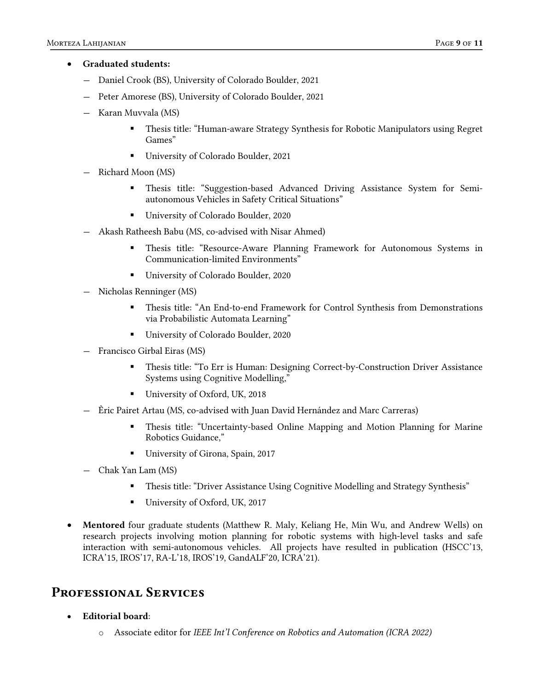#### • Graduated students:

- Daniel Crook (BS), University of Colorado Boulder, 2021
- Peter Amorese (BS), University of Colorado Boulder, 2021
- Karan Muvvala (MS)
	- § Thesis title: "Human-aware Strategy Synthesis for Robotic Manipulators using Regret Games"
	- University of Colorado Boulder, 2021
- Richard Moon (MS)
	- § Thesis title: "Suggestion-based Advanced Driving Assistance System for Semiautonomous Vehicles in Safety Critical Situations"
	- § University of Colorado Boulder, 2020
- Akash Ratheesh Babu (MS, co-advised with Nisar Ahmed)
	- § Thesis title: "Resource-Aware Planning Framework for Autonomous Systems in Communication-limited Environments"
	- University of Colorado Boulder, 2020
- Nicholas Renninger (MS)
	- § Thesis title: "An End-to-end Framework for Control Synthesis from Demonstrations via Probabilistic Automata Learning"
	- University of Colorado Boulder, 2020
- Francisco Girbal Eiras (MS)
	- § Thesis title: "To Err is Human: Designing Correct-by-Construction Driver Assistance Systems using Cognitive Modelling,"
	- University of Oxford, UK, 2018
- Èric Pairet Artau (MS, co-advised with Juan David Hernández and Marc Carreras)
	- § Thesis title: "Uncertainty-based Online Mapping and Motion Planning for Marine Robotics Guidance,"
	- University of Girona, Spain, 2017
- Chak Yan Lam (MS)
	- § Thesis title: "Driver Assistance Using Cognitive Modelling and Strategy Synthesis"
	- University of Oxford, UK, 2017
- Mentored four graduate students (Matthew R. Maly, Keliang He, Min Wu, and Andrew Wells) on research projects involving motion planning for robotic systems with high-level tasks and safe interaction with semi-autonomous vehicles. All projects have resulted in publication (HSCC'13, ICRA'15, IROS'17, RA-L'18, IROS'19, GandALF'20, ICRA'21).

## *Professional Services*

- Editorial board:
	- o Associate editor for *IEEE Int'l Conference on Robotics and Automation (ICRA 2022)*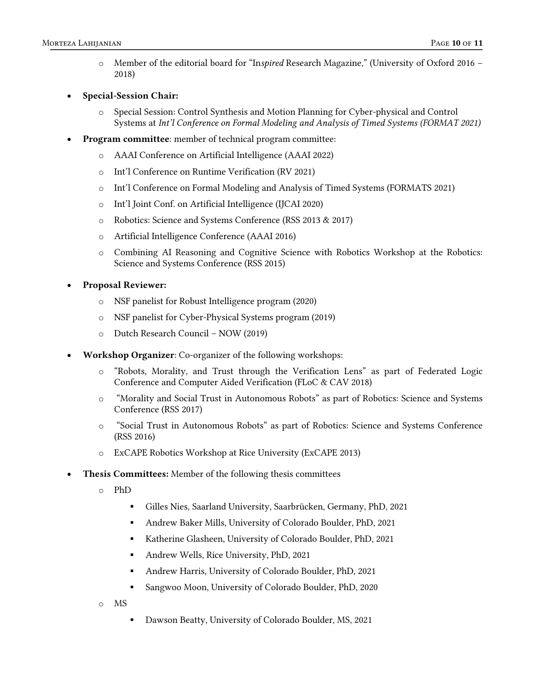- o Member of the editorial board for "In*spired* Research Magazine," (University of Oxford 2016 2018)
- Special-Session Chair:
	- o Special Session: Control Synthesis and Motion Planning for Cyber-physical and Control Systems at *Int'l Conference on Formal Modeling and Analysis of Timed Systems (FORMAT 2021)*
- Program committee: member of technical program committee:
	- AAAI Conference on Artificial Intelligence (AAAI 2022)
	- o Int'l Conference on Runtime Verification (RV 2021)
	- o Int'l Conference on Formal Modeling and Analysis of Timed Systems (FORMATS 2021)
	- o Int'l Joint Conf. on Artificial Intelligence (IJCAI 2020)
	- o Robotics: Science and Systems Conference (RSS 2013 & 2017)
	- o Artificial Intelligence Conference (AAAI 2016)
	- o Combining AI Reasoning and Cognitive Science with Robotics Workshop at the Robotics: Science and Systems Conference (RSS 2015)

• Proposal Reviewer:

- NSF panelist for Robust Intelligence program (2020)
- o NSF panelist for Cyber-Physical Systems program (2019)
- o Dutch Research Council NOW (2019)
- Workshop Organizer: Co-organizer of the following workshops:
	- o "Robots, Morality, and Trust through the Verification Lens" as part of Federated Logic Conference and Computer Aided Verification (FLoC & CAV 2018)
	- o "Morality and Social Trust in Autonomous Robots" as part of Robotics: Science and Systems Conference (RSS 2017)
	- o "Social Trust in Autonomous Robots" as part of Robotics: Science and Systems Conference (RSS 2016)
	- o ExCAPE Robotics Workshop at Rice University (ExCAPE 2013)
- Thesis Committees: Member of the following thesis committees
	- o PhD
		- § Gilles Nies, Saarland University, Saarbrücken, Germany, PhD, 2021
		- § Andrew Baker Mills, University of Colorado Boulder, PhD, 2021
		- § Katherine Glasheen, University of Colorado Boulder, PhD, 2021
		- Andrew Wells, Rice University, PhD, 2021
		- § Andrew Harris, University of Colorado Boulder, PhD, 2021
		- Sangwoo Moon, University of Colorado Boulder, PhD, 2020
	- o MS
		- § Dawson Beatty, University of Colorado Boulder, MS, 2021